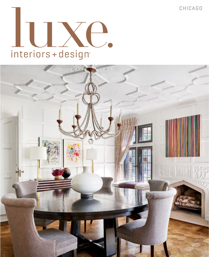CHICAGO